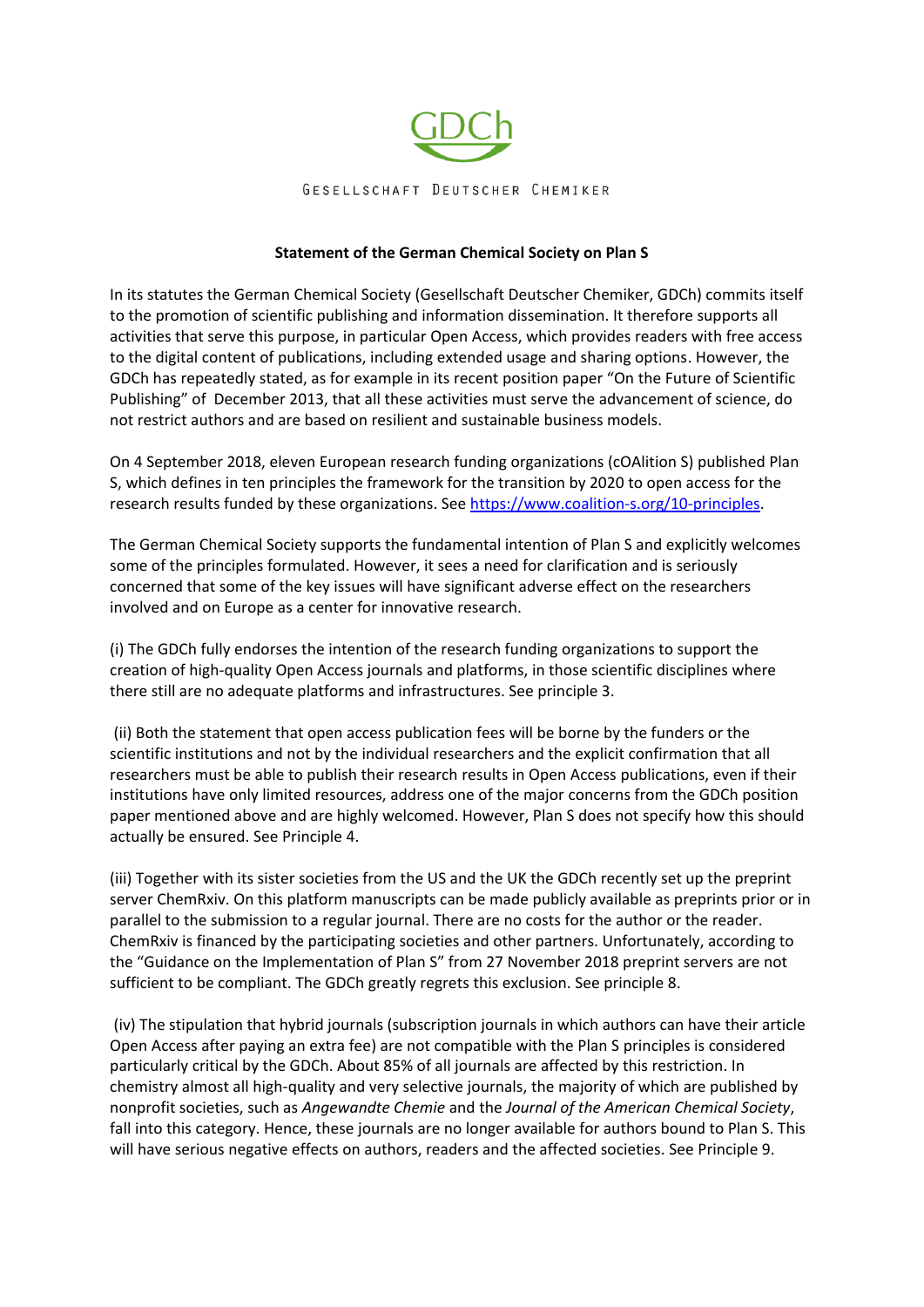

## **Statement of the German Chemical Society on Plan S**

In its statutes the German Chemical Society (Gesellschaft Deutscher Chemiker, GDCh) commits itself to the promotion of scientific publishing and information dissemination. It therefore supports all activities that serve this purpose, in particular Open Access, which provides readers with free access to the digital content of publications, including extended usage and sharing options. However, the GDCh has repeatedly stated, as for example in its recent position paper "On the Future of Scientific Publishing" of December 2013, that all these activities must serve the advancement of science, do not restrict authors and are based on resilient and sustainable business models.

On 4 September 2018, eleven European research funding organizations (cOAlition S) published Plan S, which defines in ten principles the framework for the transition by 2020 to open access for the research results funded by these organizations. See [https://www.coalition-s.org/10-principles.](https://www.coalition-s.org/10-principles)

The German Chemical Society supports the fundamental intention of Plan S and explicitly welcomes some of the principles formulated. However, it sees a need for clarification and is seriously concerned that some of the key issues will have significant adverse effect on the researchers involved and on Europe as a center for innovative research.

(i) The GDCh fully endorses the intention of the research funding organizations to support the creation of high-quality Open Access journals and platforms, in those scientific disciplines where there still are no adequate platforms and infrastructures. See principle 3.

(ii) Both the statement that open access publication fees will be borne by the funders or the scientific institutions and not by the individual researchers and the explicit confirmation that all researchers must be able to publish their research results in Open Access publications, even if their institutions have only limited resources, address one of the major concerns from the GDCh position paper mentioned above and are highly welcomed. However, Plan S does not specify how this should actually be ensured. See Principle 4.

(iii) Together with its sister societies from the US and the UK the GDCh recently set up the preprint server ChemRxiv. On this platform manuscripts can be made publicly available as preprints prior or in parallel to the submission to a regular journal. There are no costs for the author or the reader. ChemRxiv is financed by the participating societies and other partners. Unfortunately, according to the "Guidance on the Implementation of Plan S" from 27 November 2018 preprint servers are not sufficient to be compliant. The GDCh greatly regrets this exclusion. See principle 8.

(iv) The stipulation that hybrid journals (subscription journals in which authors can have their article Open Access after paying an extra fee) are not compatible with the Plan S principles is considered particularly critical by the GDCh. About 85% of all journals are affected by this restriction. In chemistry almost all high-quality and very selective journals, the majority of which are published by nonprofit societies, such as *Angewandte Chemie* and the *Journal of the American Chemical Society*, fall into this category. Hence, these journals are no longer available for authors bound to Plan S. This will have serious negative effects on authors, readers and the affected societies. See Principle 9.